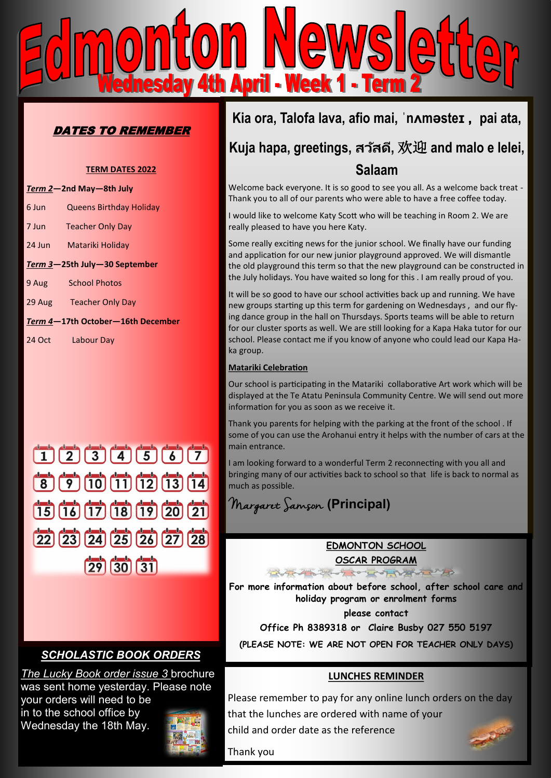

## DATES TO REMEMBER

#### **TERM DATES 2022**

| Term 2-2nd May-8th July           |                                |
|-----------------------------------|--------------------------------|
| 6 Jun                             | <b>Queens Birthday Holiday</b> |
| 7 Jun                             | <b>Teacher Only Day</b>        |
| 24 Jun                            | Matariki Holiday               |
| Term 3-25th July-30 September     |                                |
| 9 Aug                             | <b>School Photos</b>           |
| 29 Aug                            | <b>Teacher Only Day</b>        |
| Term 4-17th October-16th December |                                |
| 24 Oct                            | Labour Day                     |



## *SCHOLASTIC BOOK ORDERS*

*The Lucky Book order issue 3* brochure was sent home yesterday. Please note your orders will need to be in to the school office by Wednesday the 18th May.



## **Kia ora, Talofa lava, afio mai, ˈnʌməsteɪ , pai ata,**

# **Kuja hapa, greetings, สว ัสดี,** 欢迎 **and malo e lelei, Salaam**

Welcome back everyone. It is so good to see you all. As a welcome back treat - Thank you to all of our parents who were able to have a free coffee today.

I would like to welcome Katy Scott who will be teaching in Room 2. We are really pleased to have you here Katy.

Some really exciting news for the junior school. We finally have our funding and application for our new junior playground approved. We will dismantle the old playground this term so that the new playground can be constructed in the July holidays. You have waited so long for this . I am really proud of you.

It will be so good to have our school activities back up and running. We have new groups starting up this term for gardening on Wednesdays , and our flying dance group in the hall on Thursdays. Sports teams will be able to return for our cluster sports as well. We are still looking for a Kapa Haka tutor for our school. Please contact me if you know of anyone who could lead our Kapa Haka group.

### **Matariki Celebration**

Our school is participating in the Matariki collaborative Art work which will be displayed at the Te Atatu Peninsula Community Centre. We will send out more information for you as soon as we receive it.

Thank you parents for helping with the parking at the front of the school . If some of you can use the Arohanui entry it helps with the number of cars at the main entrance.

I am looking forward to a wonderful Term 2 reconnecting with you all and bringing many of our activities back to school so that life is back to normal as much as possible.

Margaret Samson **(Principal)**

### **EDMONTON SCHOOL**

**OSCAR PROGRAM** 10-20-7 209 209 102 2097

**For more information about before school, after school care and holiday program or enrolment forms** 

**please contact** 

**Office Ph 8389318 or Claire Busby 027 550 5197**

**(PLEASE NOTE: WE ARE NOT OPEN FOR TEACHER ONLY DAYS)**

### **LUNCHES REMINDER**

Please remember to pay for any online lunch orders on the day that the lunches are ordered with name of your child and order date as the reference

Thank you